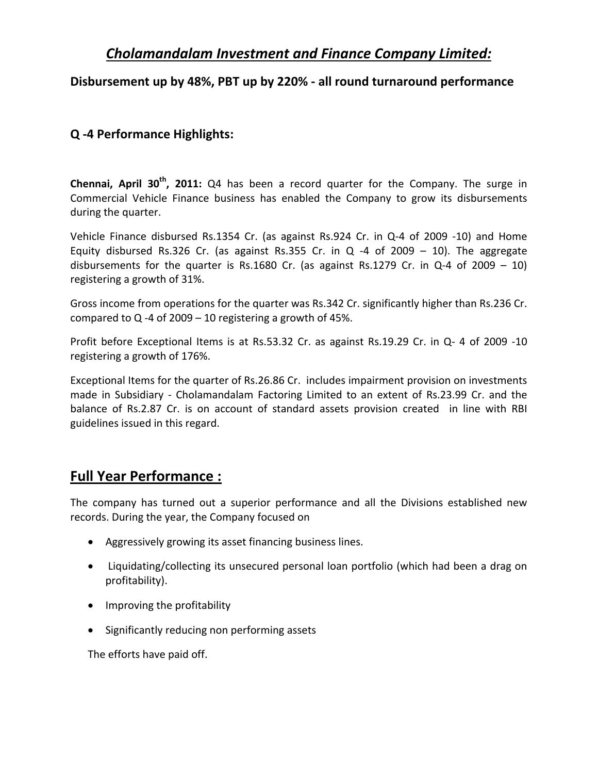# *Cholamandalam Investment and Finance Company Limited:*

## **Disbursement up by 48%, PBT up by 220% ‐ all round turnaround performance**

## **Q ‐4 Performance Highlights:**

**Chennai, April 30th, 2011:** Q4 has been a record quarter for the Company. The surge in Commercial Vehicle Finance business has enabled the Company to grow its disbursements during the quarter.

Vehicle Finance disbursed Rs.1354 Cr. (as against Rs.924 Cr. in Q‐4 of 2009 ‐10) and Home Equity disbursed Rs.326 Cr. (as against Rs.355 Cr. in Q  $-4$  of 2009 – 10). The aggregate disbursements for the quarter is Rs.1680 Cr. (as against Rs.1279 Cr. in Q-4 of 2009 – 10) registering a growth of 31%.

Gross income from operations for the quarter was Rs.342 Cr. significantly higher than Rs.236 Cr. compared to  $Q - 4$  of 2009 – 10 registering a growth of 45%.

Profit before Exceptional Items is at Rs.53.32 Cr. as against Rs.19.29 Cr. in Q‐ 4 of 2009 ‐10 registering a growth of 176%.

Exceptional Items for the quarter of Rs.26.86 Cr. includes impairment provision on investments made in Subsidiary - Cholamandalam Factoring Limited to an extent of Rs.23.99 Cr. and the balance of Rs.2.87 Cr. is on account of standard assets provision created in line with RBI guidelines issued in this regard.

# **Full Year Performance :**

The company has turned out a superior performance and all the Divisions established new records. During the year, the Company focused on

- Aggressively growing its asset financing business lines.
- Liquidating/collecting its unsecured personal loan portfolio (which had been a drag on profitability).
- Improving the profitability
- Significantly reducing non performing assets

The efforts have paid off.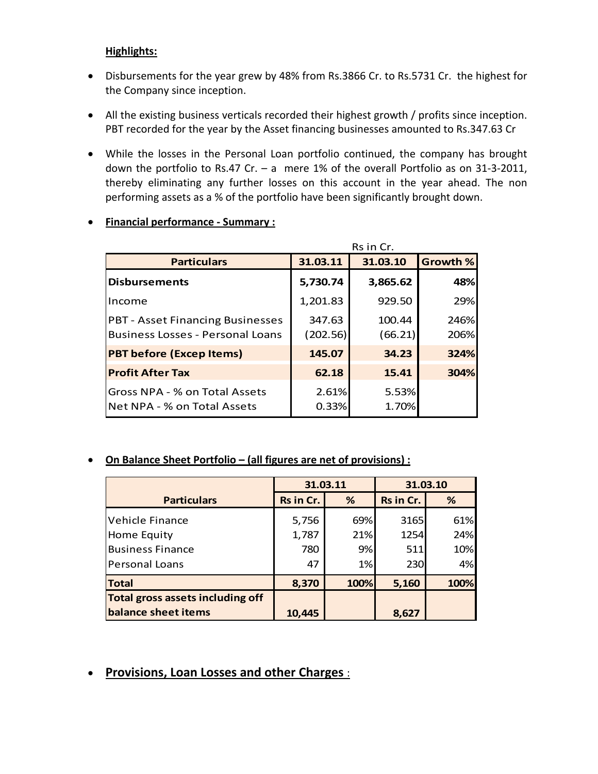### **Highlights:**

- Disbursements for the year grew by 48% from Rs.3866 Cr. to Rs.5731 Cr. the highest for the Company since inception.
- All the existing business verticals recorded their highest growth / profits since inception. PBT recorded for the year by the Asset financing businesses amounted to Rs.347.63 Cr
- While the losses in the Personal Loan portfolio continued, the company has brought down the portfolio to Rs.47 Cr. – a mere 1% of the overall Portfolio as on 31‐3‐2011, thereby eliminating any further losses on this account in the year ahead. The non performing assets as a % of the portfolio have been significantly brought down.

|                                                                                    | Rs in Cr.          |                   |                 |  |  |
|------------------------------------------------------------------------------------|--------------------|-------------------|-----------------|--|--|
| <b>Particulars</b>                                                                 | 31.03.11           | 31.03.10          | <b>Growth %</b> |  |  |
| <b>Disbursements</b>                                                               | 5,730.74           | 3,865.62          | 48%             |  |  |
| Income                                                                             | 1,201.83           | 929.50            | 29%             |  |  |
| <b>PBT - Asset Financing Businesses</b><br><b>Business Losses - Personal Loans</b> | 347.63<br>(202.56) | 100.44<br>(66.21) | 246%<br>206%    |  |  |
| <b>PBT before (Excep Items)</b>                                                    | 145.07             | 34.23             | 324%            |  |  |
| <b>Profit After Tax</b>                                                            | 62.18              | 15.41             | 304%            |  |  |
| Gross NPA - % on Total Assets<br>INet NPA - % on Total Assets                      | 2.61%<br>0.33%     | 5.53%<br>1.70%    |                 |  |  |

#### **Financial performance ‐ Summary :**

### **On Balance Sheet Portfolio – (all figures are net of provisions) :**

|                                         | 31.03.11  |      | 31.03.10  |      |
|-----------------------------------------|-----------|------|-----------|------|
| <b>Particulars</b>                      | Rs in Cr. | %    | Rs in Cr. | %    |
| Vehicle Finance                         | 5,756     | 69%  | 3165      | 61%  |
| Home Equity                             | 1,787     | 21%  | 1254      | 24%  |
| <b>Business Finance</b>                 | 780       | 9%   | 511       | 10%  |
| Personal Loans                          | 47        | 1%   | 230       | 4%   |
| <b>Total</b>                            | 8,370     | 100% | 5,160     | 100% |
| <b>Total gross assets including off</b> |           |      |           |      |
| balance sheet items                     | 10,445    |      | 8,627     |      |

# **Provisions, Loan Losses and other Charges** :